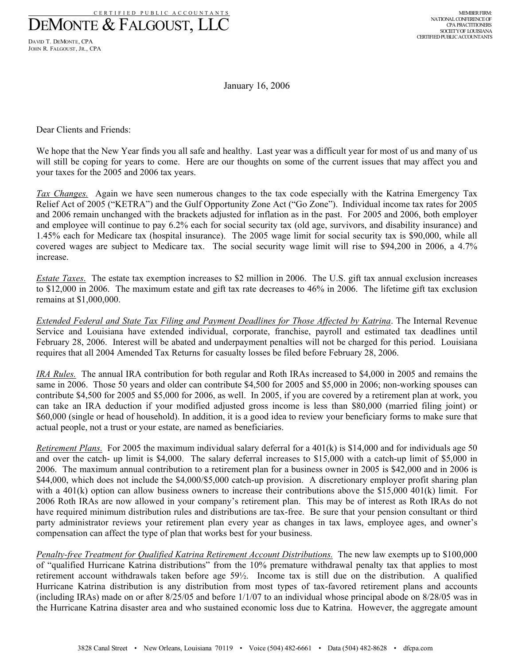CERTIFIED PUBLIC ACCOUNTANTS DEMONTE & FALGOUST, LLC

DAVID T. DEMONTE, CPA JOHN R. FALGOUST, JR., CPA

January 16, 2006

Dear Clients and Friends:

We hope that the New Year finds you all safe and healthy. Last year was a difficult year for most of us and many of us will still be coping for years to come. Here are our thoughts on some of the current issues that may affect you and your taxes for the 2005 and 2006 tax years.

*Tax Changes.* Again we have seen numerous changes to the tax code especially with the Katrina Emergency Tax Relief Act of 2005 ("KETRA") and the Gulf Opportunity Zone Act ("Go Zone"). Individual income tax rates for 2005 and 2006 remain unchanged with the brackets adjusted for inflation as in the past. For 2005 and 2006, both employer and employee will continue to pay 6.2% each for social security tax (old age, survivors, and disability insurance) and 1.45% each for Medicare tax (hospital insurance). The 2005 wage limit for social security tax is \$90,000, while all covered wages are subject to Medicare tax. The social security wage limit will rise to \$94,200 in 2006, a 4.7% increase.

*Estate Taxes*. The estate tax exemption increases to \$2 million in 2006. The U.S. gift tax annual exclusion increases to \$12,000 in 2006. The maximum estate and gift tax rate decreases to 46% in 2006. The lifetime gift tax exclusion remains at \$1,000,000.

*Extended Federal and State Tax Filing and Payment Deadlines for Those Affected by Katrina*. The Internal Revenue Service and Louisiana have extended individual, corporate, franchise, payroll and estimated tax deadlines until February 28, 2006. Interest will be abated and underpayment penalties will not be charged for this period. Louisiana requires that all 2004 Amended Tax Returns for casualty losses be filed before February 28, 2006.

*IRA Rules.* The annual IRA contribution for both regular and Roth IRAs increased to \$4,000 in 2005 and remains the same in 2006. Those 50 years and older can contribute \$4,500 for 2005 and \$5,000 in 2006; non-working spouses can contribute \$4,500 for 2005 and \$5,000 for 2006, as well. In 2005, if you are covered by a retirement plan at work, you can take an IRA deduction if your modified adjusted gross income is less than \$80,000 (married filing joint) or \$60,000 (single or head of household). In addition, it is a good idea to review your beneficiary forms to make sure that actual people, not a trust or your estate, are named as beneficiaries.

*Retirement Plans.* For 2005 the maximum individual salary deferral for a 401(k) is \$14,000 and for individuals age 50 and over the catch- up limit is \$4,000. The salary deferral increases to \$15,000 with a catch-up limit of \$5,000 in 2006. The maximum annual contribution to a retirement plan for a business owner in 2005 is \$42,000 and in 2006 is \$44,000, which does not include the \$4,000/\$5,000 catch-up provision. A discretionary employer profit sharing plan with a 401(k) option can allow business owners to increase their contributions above the \$15,000 401(k) limit. For 2006 Roth IRAs are now allowed in your company's retirement plan. This may be of interest as Roth IRAs do not have required minimum distribution rules and distributions are tax-free. Be sure that your pension consultant or third party administrator reviews your retirement plan every year as changes in tax laws, employee ages, and owner's compensation can affect the type of plan that works best for your business.

*Penalty-free Treatment for Qualified Katrina Retirement Account Distributions.*The new law exempts up to \$100,000 of "qualified Hurricane Katrina distributions" from the 10% premature withdrawal penalty tax that applies to most retirement account withdrawals taken before age 59½. Income tax is still due on the distribution. A qualified Hurricane Katrina distribution is any distribution from most types of tax-favored retirement plans and accounts (including IRAs) made on or after 8/25/05 and before 1/1/07 to an individual whose principal abode on 8/28/05 was in the Hurricane Katrina disaster area and who sustained economic loss due to Katrina. However, the aggregate amount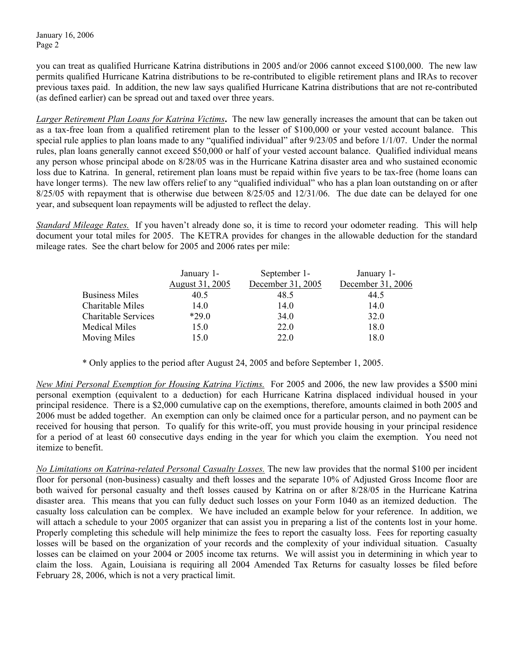January 16, 2006 Page 2

you can treat as qualified Hurricane Katrina distributions in 2005 and/or 2006 cannot exceed \$100,000. The new law permits qualified Hurricane Katrina distributions to be re-contributed to eligible retirement plans and IRAs to recover previous taxes paid. In addition, the new law says qualified Hurricane Katrina distributions that are not re-contributed (as defined earlier) can be spread out and taxed over three years.

*Larger Retirement Plan Loans for Katrina Victims***.** The new law generally increases the amount that can be taken out as a tax-free loan from a qualified retirement plan to the lesser of \$100,000 or your vested account balance. This special rule applies to plan loans made to any "qualified individual" after 9/23/05 and before 1/1/07. Under the normal rules, plan loans generally cannot exceed \$50,000 or half of your vested account balance. Qualified individual means any person whose principal abode on 8/28/05 was in the Hurricane Katrina disaster area and who sustained economic loss due to Katrina. In general, retirement plan loans must be repaid within five years to be tax-free (home loans can have longer terms). The new law offers relief to any "qualified individual" who has a plan loan outstanding on or after 8/25/05 with repayment that is otherwise due between 8/25/05 and 12/31/06. The due date can be delayed for one year, and subsequent loan repayments will be adjusted to reflect the delay.

*Standard Mileage Rates.* If you haven't already done so, it is time to record your odometer reading. This will help document your total miles for 2005. The KETRA provides for changes in the allowable deduction for the standard mileage rates. See the chart below for 2005 and 2006 rates per mile:

|                            | January 1-      | September 1-      | January 1-        |
|----------------------------|-----------------|-------------------|-------------------|
|                            | August 31, 2005 | December 31, 2005 | December 31, 2006 |
| <b>Business Miles</b>      | 40.5            | 48.5              | 44.5              |
| Charitable Miles           | 14.0            | 14.0              | 14.0              |
| <b>Charitable Services</b> | $*290$          | 34.0              | 32.0              |
| <b>Medical Miles</b>       | 15.0            | 22.0              | 18.0              |
| Moving Miles               | 15.0            | 22.0              | 18.0              |

\* Only applies to the period after August 24, 2005 and before September 1, 2005.

*New Mini Personal Exemption for Housing Katrina Victims.*For 2005 and 2006, the new law provides a \$500 mini personal exemption (equivalent to a deduction) for each Hurricane Katrina displaced individual housed in your principal residence. There is a \$2,000 cumulative cap on the exemptions, therefore, amounts claimed in both 2005 and 2006 must be added together. An exemption can only be claimed once for a particular person, and no payment can be received for housing that person. To qualify for this write-off, you must provide housing in your principal residence for a period of at least 60 consecutive days ending in the year for which you claim the exemption. You need not itemize to benefit.

*No Limitations on Katrina-related Personal Casualty Losses.* The new law provides that the normal \$100 per incident floor for personal (non-business) casualty and theft losses and the separate 10% of Adjusted Gross Income floor are both waived for personal casualty and theft losses caused by Katrina on or after 8/28/05 in the Hurricane Katrina disaster area. This means that you can fully deduct such losses on your Form 1040 as an itemized deduction. The casualty loss calculation can be complex. We have included an example below for your reference. In addition, we will attach a schedule to your 2005 organizer that can assist you in preparing a list of the contents lost in your home. Properly completing this schedule will help minimize the fees to report the casualty loss. Fees for reporting casualty losses will be based on the organization of your records and the complexity of your individual situation. Casualty losses can be claimed on your 2004 or 2005 income tax returns. We will assist you in determining in which year to claim the loss. Again, Louisiana is requiring all 2004 Amended Tax Returns for casualty losses be filed before February 28, 2006, which is not a very practical limit.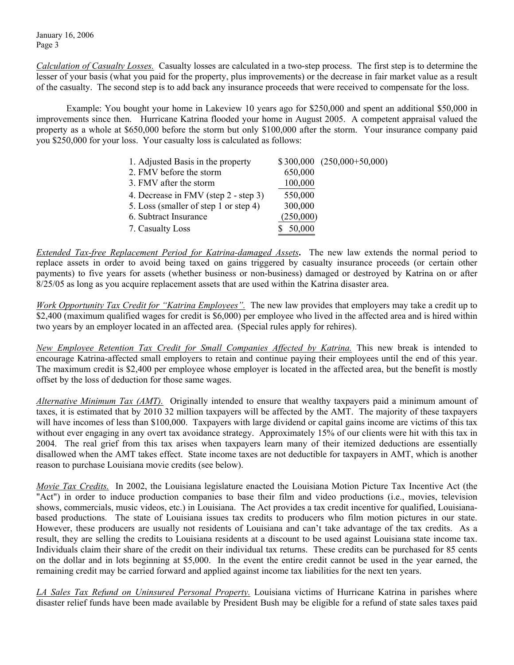January 16, 2006 Page 3

*Calculation of Casualty Losses.* Casualty losses are calculated in a two-step process. The first step is to determine the lesser of your basis (what you paid for the property, plus improvements) or the decrease in fair market value as a result of the casualty. The second step is to add back any insurance proceeds that were received to compensate for the loss.

Example: You bought your home in Lakeview 10 years ago for \$250,000 and spent an additional \$50,000 in improvements since then. Hurricane Katrina flooded your home in August 2005. A competent appraisal valued the property as a whole at \$650,000 before the storm but only \$100,000 after the storm. Your insurance company paid you \$250,000 for your loss. Your casualty loss is calculated as follows:

| 1. Adjusted Basis in the property     |           | $$300,000 (250,000+50,000)$ |
|---------------------------------------|-----------|-----------------------------|
| 2. FMV before the storm               | 650,000   |                             |
| 3. FMV after the storm                | 100,000   |                             |
| 4. Decrease in FMV (step 2 - step 3)  | 550,000   |                             |
| 5. Loss (smaller of step 1 or step 4) | 300,000   |                             |
| 6. Subtract Insurance                 | (250,000) |                             |
| 7. Casualty Loss                      | \$50,000  |                             |

*Extended Tax-free Replacement Period for Katrina-damaged Assets***.** The new law extends the normal period to replace assets in order to avoid being taxed on gains triggered by casualty insurance proceeds (or certain other payments) to five years for assets (whether business or non-business) damaged or destroyed by Katrina on or after 8/25/05 as long as you acquire replacement assets that are used within the Katrina disaster area.

*Work Opportunity Tax Credit for "Katrina Employees".*The new law provides that employers may take a credit up to \$2,400 (maximum qualified wages for credit is \$6,000) per employee who lived in the affected area and is hired within two years by an employer located in an affected area. (Special rules apply for rehires).

*New Employee Retention Tax Credit for Small Companies Affected by Katrina.* This new break is intended to encourage Katrina-affected small employers to retain and continue paying their employees until the end of this year. The maximum credit is \$2,400 per employee whose employer is located in the affected area, but the benefit is mostly offset by the loss of deduction for those same wages.

*Alternative Minimum Tax (AMT).* Originally intended to ensure that wealthy taxpayers paid a minimum amount of taxes, it is estimated that by 2010 32 million taxpayers will be affected by the AMT. The majority of these taxpayers will have incomes of less than \$100,000. Taxpayers with large dividend or capital gains income are victims of this tax without ever engaging in any overt tax avoidance strategy. Approximately 15% of our clients were hit with this tax in 2004. The real grief from this tax arises when taxpayers learn many of their itemized deductions are essentially disallowed when the AMT takes effect. State income taxes are not deductible for taxpayers in AMT, which is another reason to purchase Louisiana movie credits (see below).

*Movie Tax Credits.* In 2002, the Louisiana legislature enacted the Louisiana Motion Picture Tax Incentive Act (the "Act") in order to induce production companies to base their film and video productions (i.e., movies, television shows, commercials, music videos, etc.) in Louisiana. The Act provides a tax credit incentive for qualified, Louisianabased productions. The state of Louisiana issues tax credits to producers who film motion pictures in our state. However, these producers are usually not residents of Louisiana and can't take advantage of the tax credits. As a result, they are selling the credits to Louisiana residents at a discount to be used against Louisiana state income tax. Individuals claim their share of the credit on their individual tax returns. These credits can be purchased for 85 cents on the dollar and in lots beginning at \$5,000. In the event the entire credit cannot be used in the year earned, the remaining credit may be carried forward and applied against income tax liabilities for the next ten years.

*LA Sales Tax Refund on Uninsured Personal Property.* Louisiana victims of Hurricane Katrina in parishes where disaster relief funds have been made available by President Bush may be eligible for a refund of state sales taxes paid